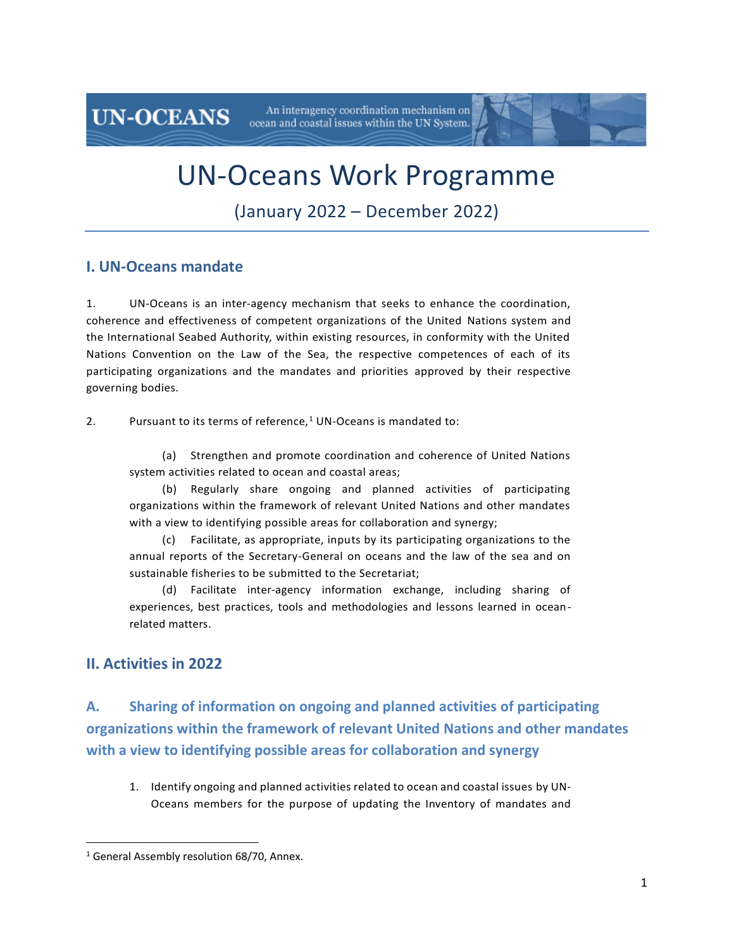UN-Oceans Work Programme

An interagency coordination mechanism on

ocean and coastal issues within the UN System.

(January 2022 – December 2022)

### **I. UN-Oceans mandate**

**UN-OCEANS** 

1. UN-Oceans is an inter-agency mechanism that seeks to enhance the coordination, coherence and effectiveness of competent organizations of the United Nations system and the International Seabed Authority, within existing resources, in conformity with the United Nations Convention on the Law of the Sea, the respective competences of each of its participating organizations and the mandates and priorities approved by their respective governing bodies.

2. Pursuant to its terms of reference, $1$  UN-Oceans is mandated to:

(a) Strengthen and promote coordination and coherence of United Nations system activities related to ocean and coastal areas;

(b) Regularly share ongoing and planned activities of participating organizations within the framework of relevant United Nations and other mandates with a view to identifying possible areas for collaboration and synergy;

(c) Facilitate, as appropriate, inputs by its participating organizations to the annual reports of the Secretary-General on oceans and the law of the sea and on sustainable fisheries to be submitted to the Secretariat;

(d) Facilitate inter-agency information exchange, including sharing of experiences, best practices, tools and methodologies and lessons learned in oceanrelated matters.

### **II. Activities in 2022**

**A. Sharing of information on ongoing and planned activities of participating organizations within the framework of relevant United Nations and other mandates with a view to identifying possible areas for collaboration and synergy**

1. Identify ongoing and planned activities related to ocean and coastal issues by UN-Oceans members for the purpose of updating the Inventory of mandates and

<sup>&</sup>lt;sup>1</sup> General Assembly resolution 68/70, Annex.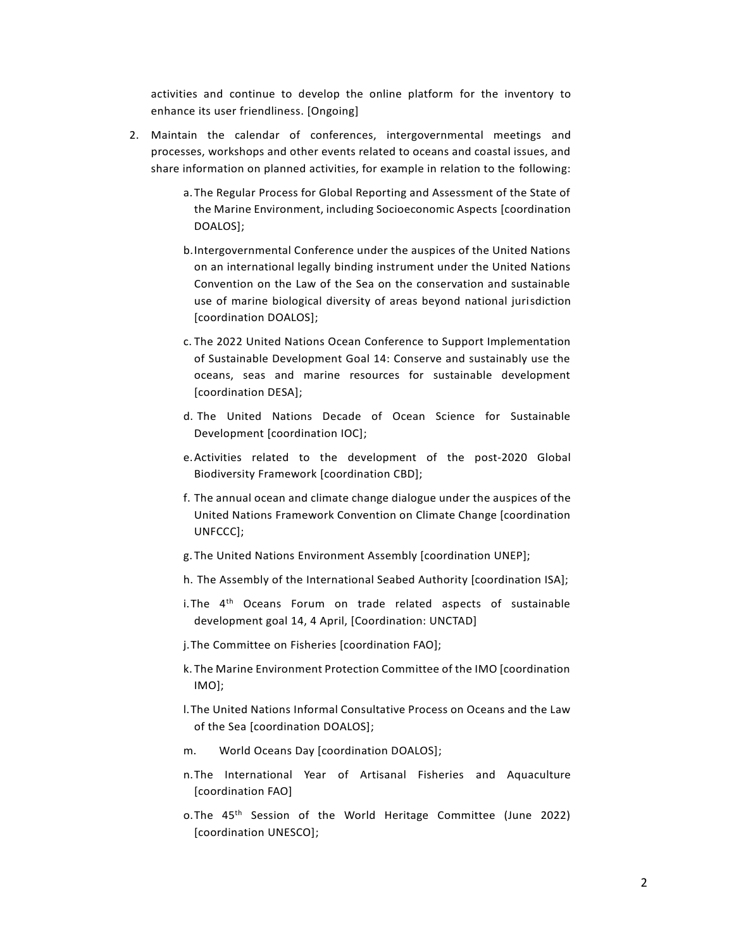activities and continue to develop the online platform for the inventory to enhance its user friendliness. [Ongoing]

- 2. Maintain the calendar of conferences, intergovernmental meetings and processes, workshops and other events related to oceans and coastal issues, and share information on planned activities, for example in relation to the following:
	- a. The Regular Process for Global Reporting and Assessment of the State of the Marine Environment, including Socioeconomic Aspects [coordination DOALOS];
	- b.Intergovernmental Conference under the auspices of the United Nations on an international legally binding instrument under the United Nations Convention on the Law of the Sea on the conservation and sustainable use of marine biological diversity of areas beyond national jurisdiction [coordination DOALOS];
	- c. The 2022 United Nations Ocean Conference to Support Implementation of Sustainable Development Goal 14: Conserve and sustainably use the oceans, seas and marine resources for sustainable development [coordination DESA];
	- d. The United Nations Decade of Ocean Science for Sustainable Development [coordination IOC];
	- e.Activities related to the development of the post-2020 Global Biodiversity Framework [coordination CBD];
	- f. The annual ocean and climate change dialogue under the auspices of the United Nations Framework Convention on Climate Change [coordination UNFCCC];
	- g. The United Nations Environment Assembly [coordination UNEP];
	- h. The Assembly of the International Seabed Authority [coordination ISA];
	- i.The 4<sup>th</sup> Oceans Forum on trade related aspects of sustainable development goal 14, 4 April, [Coordination: UNCTAD]
	- j.The Committee on Fisheries [coordination FAO];
	- k. The Marine Environment Protection Committee of the IMO [coordination IMO];
	- l.The United Nations Informal Consultative Process on Oceans and the Law of the Sea [coordination DOALOS];
	- m. World Oceans Day [coordination DOALOS];
	- n.The International Year of Artisanal Fisheries and Aquaculture [coordination FAO]
	- o.The 45<sup>th</sup> Session of the World Heritage Committee (June 2022) [coordination UNESCO];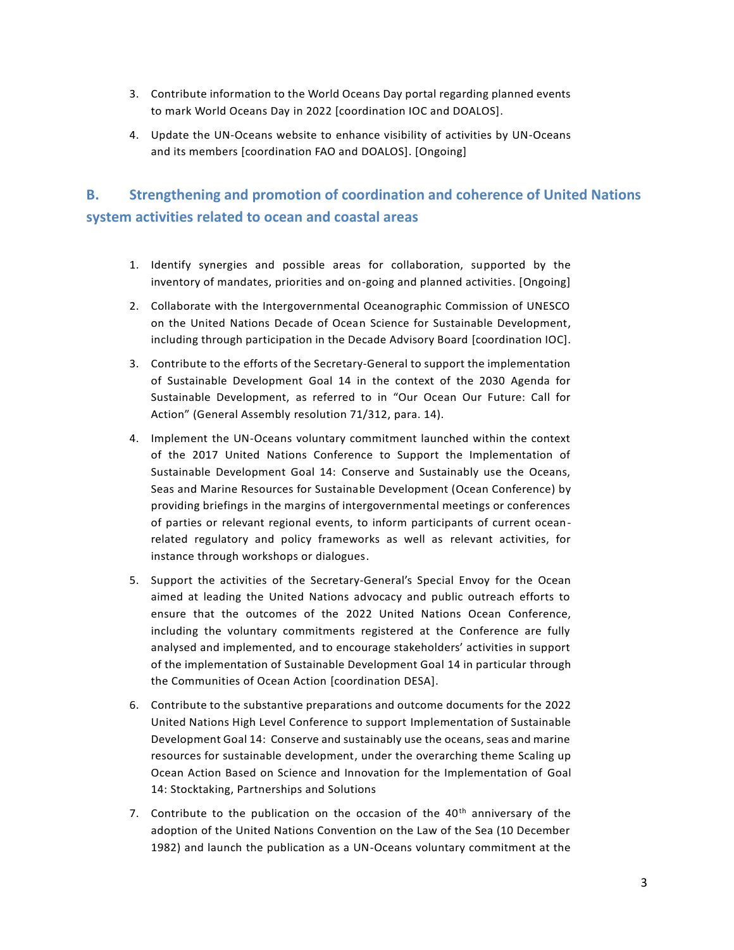- 3. Contribute information to the World Oceans Day portal regarding planned events to mark World Oceans Day in 2022 [coordination IOC and DOALOS].
- 4. Update the UN-Oceans website to enhance visibility of activities by UN-Oceans and its members [coordination FAO and DOALOS]. [Ongoing]

### **B. Strengthening and promotion of coordination and coherence of United Nations system activities related to ocean and coastal areas**

- 1. Identify synergies and possible areas for collaboration, supported by the inventory of mandates, priorities and on-going and planned activities. [Ongoing]
- 2. Collaborate with the Intergovernmental Oceanographic Commission of UNESCO on the United Nations Decade of Ocean Science for Sustainable Development, including through participation in the Decade Advisory Board [coordination IOC].
- 3. Contribute to the efforts of the Secretary-General to support the implementation of Sustainable Development Goal 14 in the context of the 2030 Agenda for Sustainable Development, as referred to in "Our Ocean Our Future: Call for Action" (General Assembly resolution 71/312, para. 14).
- 4. Implement the UN-Oceans voluntary commitment launched within the context of the 2017 United Nations Conference to Support the Implementation of Sustainable Development Goal 14: Conserve and Sustainably use the Oceans, Seas and Marine Resources for Sustainable Development (Ocean Conference) by providing briefings in the margins of intergovernmental meetings or conferences of parties or relevant regional events, to inform participants of current oceanrelated regulatory and policy frameworks as well as relevant activities, for instance through workshops or dialogues.
- 5. Support the activities of the Secretary-General's Special Envoy for the Ocean aimed at leading the United Nations advocacy and public outreach efforts to ensure that the outcomes of the 2022 United Nations Ocean Conference, including the voluntary commitments registered at the Conference are fully analysed and implemented, and to encourage stakeholders' activities in support of the implementation of Sustainable Development Goal 14 in particular through the Communities of Ocean Action [coordination DESA].
- 6. Contribute to the substantive preparations and outcome documents for the 2022 United Nations High Level Conference to support Implementation of Sustainable Development Goal 14: Conserve and sustainably use the oceans, seas and marine resources for sustainable development, under the overarching theme Scaling up Ocean Action Based on Science and Innovation for the Implementation of Goal 14: Stocktaking, Partnerships and Solutions
- 7. Contribute to the publication on the occasion of the  $40<sup>th</sup>$  anniversary of the adoption of the United Nations Convention on the Law of the Sea (10 December 1982) and launch the publication as a UN-Oceans voluntary commitment at the